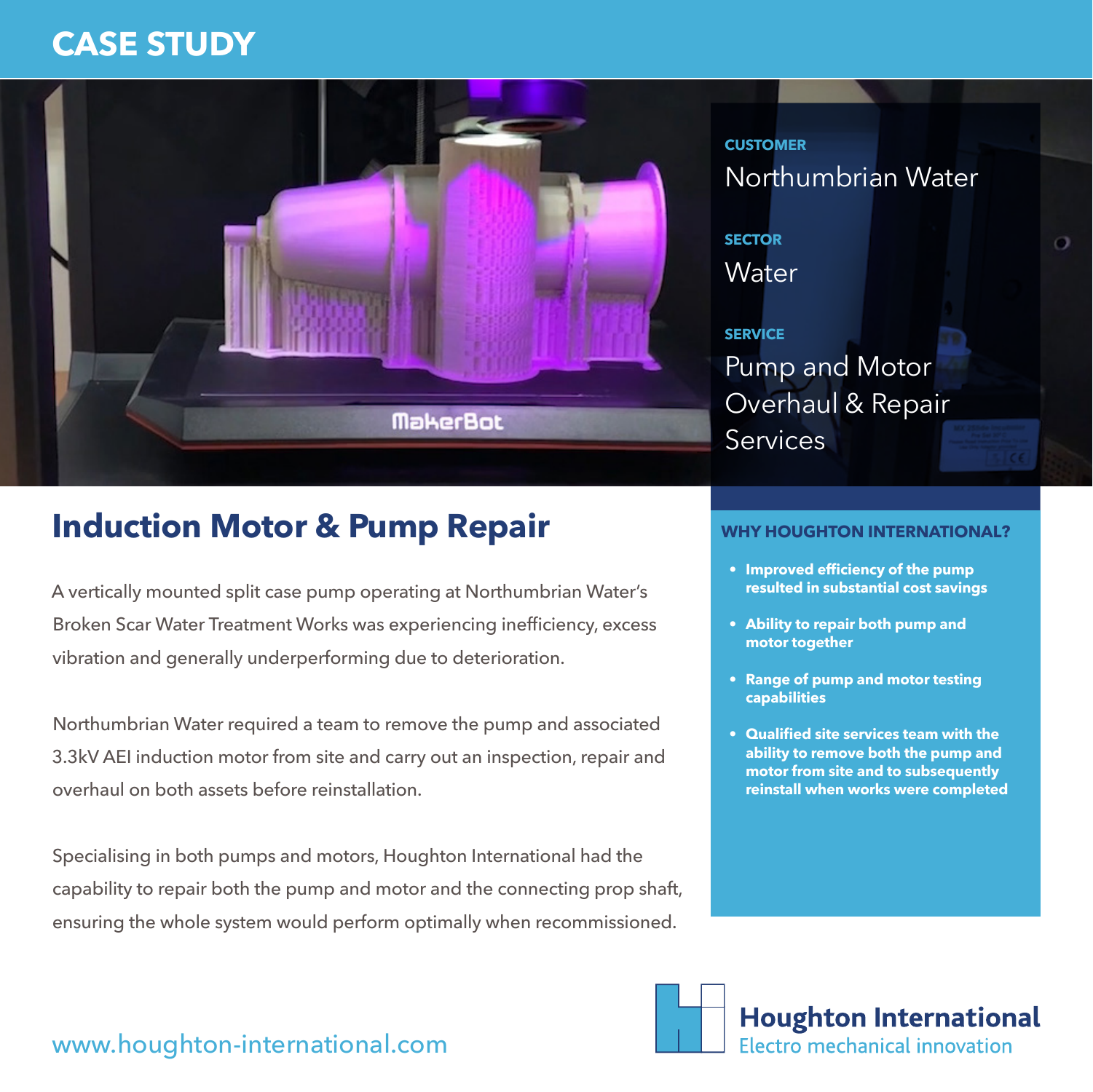# **CASE STUDY**



# **Induction Motor & Pump Repair**

A vertically mounted split case pump operating at Northumbrian Water's Broken Scar Water Treatment Works was experiencing inefficiency, excess vibration and generally underperforming due to deterioration.

Northumbrian Water required a team to remove the pump and associated 3.3kV AEI induction motor from site and carry out an inspection, repair and overhaul on both assets before reinstallation.

Specialising in both pumps and motors, Houghton International had the capability to repair both the pump and motor and the connecting prop shaft, ensuring the whole system would perform optimally when recommissioned.

**CUSTOMER**  Northumbrian Water

 $\omega$ 

**SECTOR Water** 

## **SERVICE**

Pump and Motor Overhaul & Repair Services

### **WHY HOUGHTON INTERNATIONAL?**

- **• Improved efficiency of the pump resulted in substantial cost savings**
- **• Ability to repair both pump and motor together**
- **• Range of pump and motor testing capabilities**
- **• Qualified site services team with the ability to remove both the pump and motor from site and to subsequently reinstall when works were completed**



## www.houghton-international.com